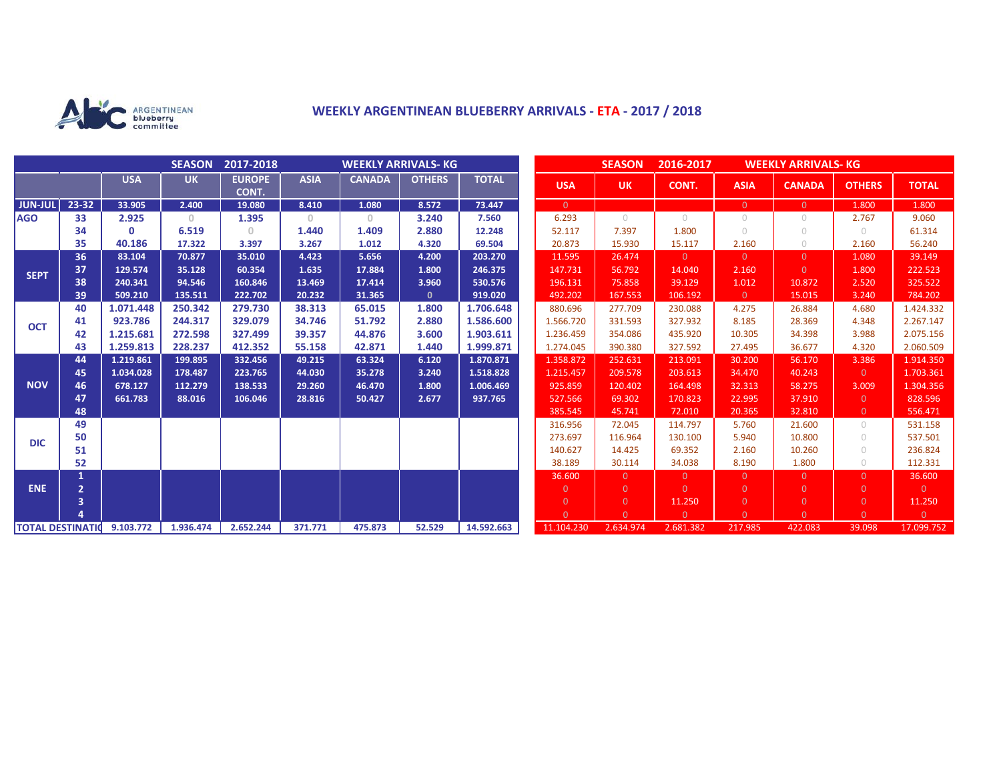

# **WEEKLY ARGENTINEAN BLUEBERRY ARRIVALS - ETA - 2017 / 2018**

|                          |                |              | <b>SEASON</b> | 2017-2018              | <b>WEEKLY ARRIVALS- KG</b>            |               |               |              |  |                | <b>SEASON</b>  | 2016-2017  | <b>WEEKLY ARRIVALS- KG</b> |                |                |                |
|--------------------------|----------------|--------------|---------------|------------------------|---------------------------------------|---------------|---------------|--------------|--|----------------|----------------|------------|----------------------------|----------------|----------------|----------------|
|                          |                | <b>USA</b>   | <b>UK</b>     | <b>EUROPE</b><br>CONT. | <b>ASIA</b>                           | <b>CANADA</b> | <b>OTHERS</b> | <b>TOTAL</b> |  | <b>USA</b>     | <b>UK</b>      | CONT.      | <b>ASIA</b>                | <b>CANADA</b>  | <b>OTHERS</b>  | <b>TOTAL</b>   |
| <b>JUN-JUL</b>           | $23 - 32$      | 33.905       | 2.400         | 19.080                 | 8.410                                 | 1.080         | 8.572         | 73.447       |  | $\overline{0}$ |                |            | $\overline{0}$             | $\Omega$       | 1.800          | 1.800          |
| <b>AGO</b>               | 33             | 2.925        | $\circ$       | 1.395                  | $\begin{array}{c} 0 \\ 0 \end{array}$ | $\circ$       | 3.240         | 7.560        |  | 6.293          | $\bigcirc$     | $\bigcirc$ | $\circ$                    | 0              | 2.767          | 9.060          |
|                          | 34             | $\mathbf{0}$ | 6.519         | 0                      | 1.440                                 | 1.409         | 2.880         | 12.248       |  | 52.117         | 7.397          | 1.800      | $\bigcirc$                 | $\bigcirc$     | $\bigcirc$     | 61.314         |
|                          | 35             | 40.186       | 17.322        | 3.397                  | 3.267                                 | 1.012         | 4.320         | 69.504       |  | 20.873         | 15.930         | 15.117     | 2.160                      | $\bigcirc$     | 2.160          | 56.240         |
| <b>SEPT</b>              | 36             | 83.104       | 70.877        | 35.010                 | 4.423                                 | 5.656         | 4.200         | 203.270      |  | 11.595         | 26.474         | $\Omega$   | $\overline{0}$             | $\Omega$       | 1.080          | 39.149         |
|                          | 37             | 129.574      | 35.128        | 60.354                 | 1.635                                 | 17.884        | 1.800         | 246.375      |  | 147.731        | 56.792         | 14.040     | 2.160                      | $\Omega$       | 1.800          | 222.523        |
|                          | 38             | 240.341      | 94.546        | 160.846                | 13.469                                | 17.414        | 3.960         | 530.576      |  | 196.131        | 75.858         | 39.129     | 1.012                      | 10.872         | 2.520          | 325.522        |
|                          | 39             | 509.210      | 135.511       | 222.702                | 20.232                                | 31.365        | $\mathbf{0}$  | 919.020      |  | 492.202        | 167.553        | 106.192    | $\overline{0}$             | 15.015         | 3.240          | 784.202        |
| <b>OCT</b>               | 40             | 1.071.448    | 250.342       | 279.730                | 38.313                                | 65.015        | 1.800         | 1.706.648    |  | 880.696        | 277.709        | 230.088    | 4.275                      | 26.884         | 4.680          | 1.424.332      |
|                          | 41             | 923.786      | 244.317       | 329.079                | 34.746                                | 51.792        | 2.880         | 1.586.600    |  | 1.566.720      | 331.593        | 327.932    | 8.185                      | 28.369         | 4.348          | 2.267.147      |
|                          | 42             | 1.215.681    | 272.598       | 327.499                | 39.357                                | 44.876        | 3.600         | 1.903.611    |  | 1.236.459      | 354.086        | 435.920    | 10.305                     | 34.398         | 3.988          | 2.075.156      |
|                          | 43             | 1.259.813    | 228.237       | 412.352                | 55.158                                | 42.871        | 1.440         | 1.999.871    |  | 1.274.045      | 390.380        | 327.592    | 27.495                     | 36.677         | 4.320          | 2.060.509      |
|                          | 44             | 1.219.861    | 199.895       | 332.456                | 49.215                                | 63.324        | 6.120         | 1.870.871    |  | 1.358.872      | 252.631        | 213.091    | 30.200                     | 56.170         | 3.386          | 1.914.350      |
| <b>NOV</b>               | 45             | 1.034.028    | 178.487       | 223.765                | 44.030                                | 35.278        | 3.240         | 1.518.828    |  | 1.215.457      | 209.578        | 203.613    | 34.470                     | 40.243         | $\overline{0}$ | 1.703.361      |
|                          | 46             | 678.127      | 112.279       | 138.533                | 29.260                                | 46.470        | 1.800         | 1.006.469    |  | 925.859        | 120.402        | 164.498    | 32.313                     | 58.275         | 3.009          | 1.304.356      |
|                          | 47             | 661.783      | 88.016        | 106.046                | 28.816                                | 50.427        | 2.677         | 937.765      |  | 527.566        | 69.302         | 170.823    | 22.995                     | 37.910         | $\overline{0}$ | 828.596        |
|                          | 48             |              |               |                        |                                       |               |               |              |  | 385.545        | 45.741         | 72.010     | 20.365                     | 32.810         | $\overline{0}$ | 556.471        |
| <b>DIC</b>               | 49             |              |               |                        |                                       |               |               |              |  | 316.956        | 72.045         | 114.797    | 5.760                      | 21.600         | $\cup$         | 531.158        |
|                          | 50             |              |               |                        |                                       |               |               |              |  | 273.697        | 116.964        | 130.100    | 5.940                      | 10.800         | $\bigcirc$     | 537.501        |
|                          | 51             |              |               |                        |                                       |               |               |              |  | 140.627        | 14.425         | 69.352     | 2.160                      | 10.260         | $\bigcirc$     | 236.824        |
|                          | 52             |              |               |                        |                                       |               |               |              |  | 38.189         | 30.114         | 34.038     | 8.190                      | 1.800          | $\bigcirc$     | 112.331        |
| <b>ENE</b>               | 1              |              |               |                        |                                       |               |               |              |  | 36.600         | $\Omega$       | $\Omega$   | $\overline{0}$             | $\Omega$       | $\Omega$       | 36.600         |
|                          | $\overline{2}$ |              |               |                        |                                       |               |               |              |  | $\overline{0}$ | $\Omega$       | $\Omega$   | $\overline{0}$             | $\Omega$       | $\Omega$       | $\overline{0}$ |
|                          | 3              |              |               |                        |                                       |               |               |              |  | $\overline{0}$ | $\overline{0}$ | 11.250     | $\overline{0}$             | $\overline{0}$ | $\overline{0}$ | 11.250         |
|                          |                |              |               |                        |                                       |               |               |              |  | $\Omega$       | $\Omega$       | $\Omega$   | $\Omega$                   | $\Omega$       | $\Omega$       | $\overline{0}$ |
| <b>TOTAL DESTINATION</b> |                | 9.103.772    | 1.936.474     | 2.652.244              | 371.771                               | 475.873       | 52.529        | 14.592.663   |  | 11.104.230     | 2.634.974      | 2.681.382  | 217.985                    | 422.083        | 39.098         | 17.099.752     |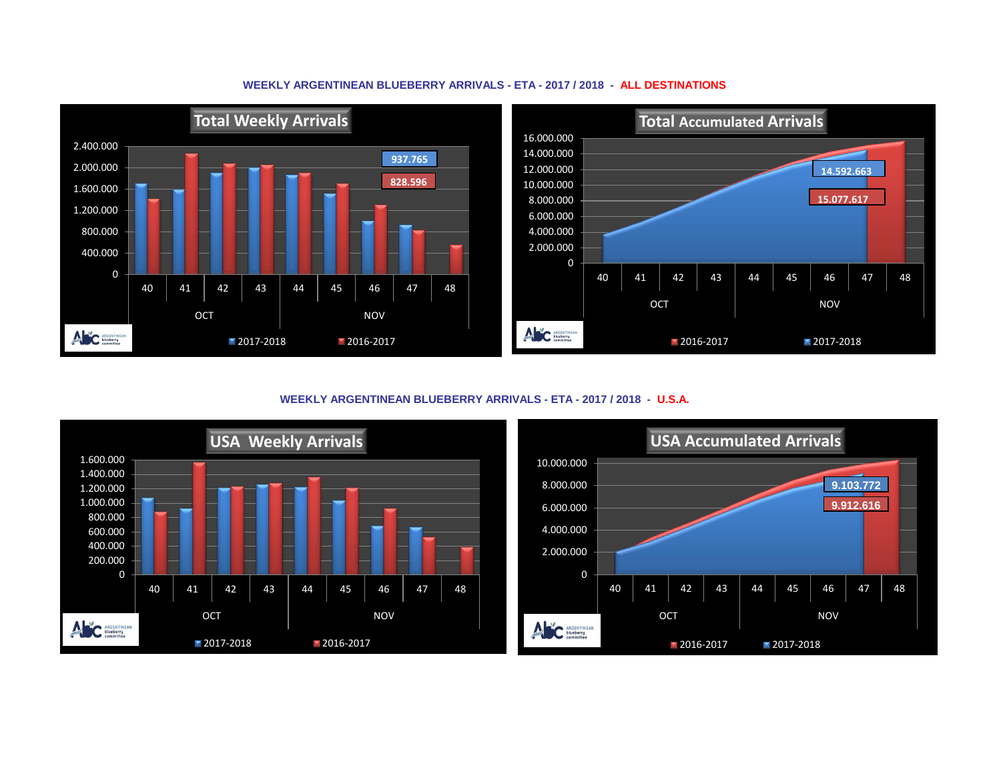### **WEEKLY ARGENTINEAN BLUEBERRY ARRIVALS - ETA - 2017 / 2018 - ALL DESTINATIONS**



**WEEKLY ARGENTINEAN BLUEBERRY ARRIVALS - ETA - 2017 / 2018 - U.S.A.**



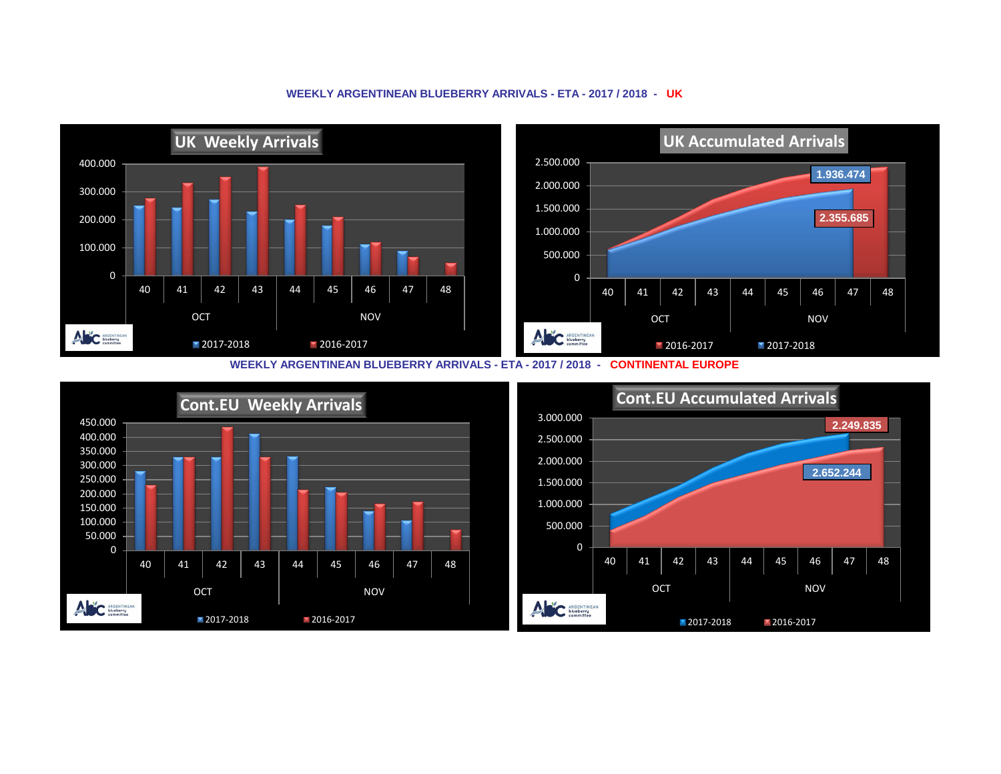#### **UK Weekly Arrivals UK Accumulated Arrivals** 2.500.000 400.000 **1.936.474** 2.000.000 300.000 1.500.000 **2.355.685** 200.000 1.000.000 100.000 500.000 0 0 40 | 41 | 42 | 43 | 44 | 45 | 46 | 47 | 48 40 | 41 | 42 | 43 | 44 | 45 | 46 | 47 | 48 OCT NOV OCT NOV ANC ARGENTINEAN ANC ARGENTINEAN 2017-2018 2016-2017 **2016-2017** 2017-2018





### **WEEKLY ARGENTINEAN BLUEBERRY ARRIVALS - ETA - 2017 / 2018 - UK**